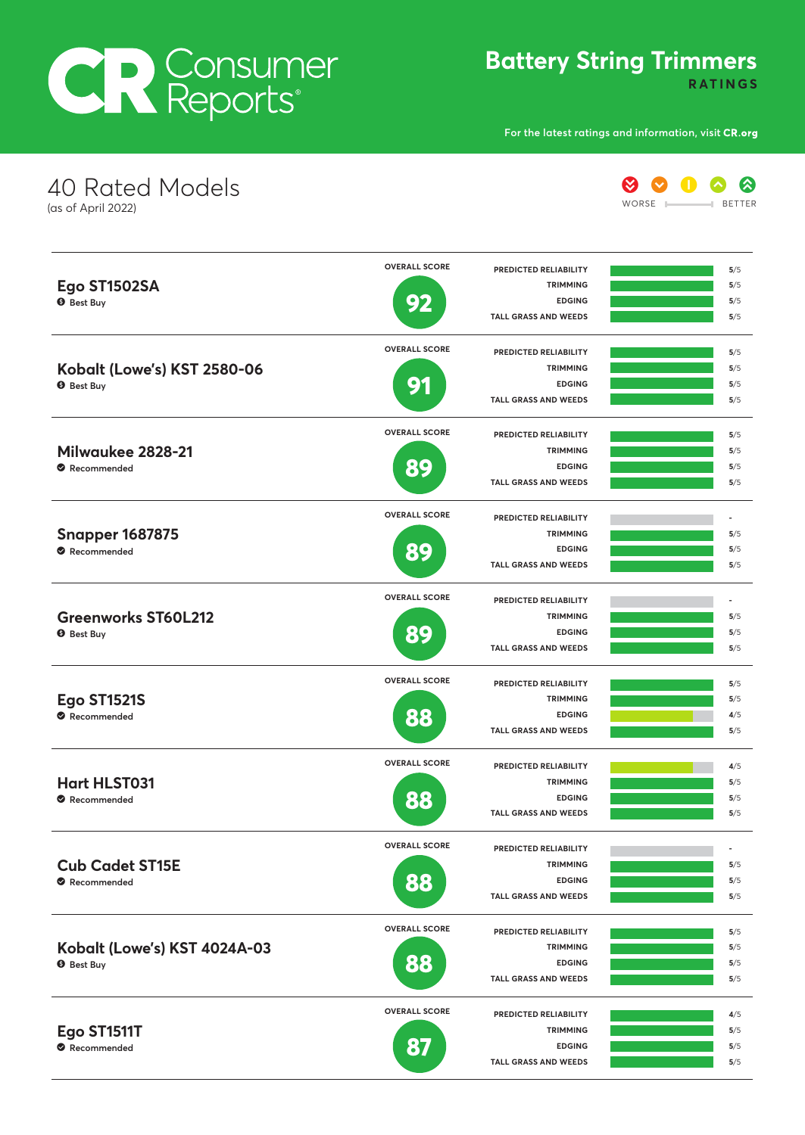## CR Consumer

**Battery String Trimmers**

**RATINGS**

**For the latest ratings and information, visit**

**EDGING**

**5**/5 **5**/5

**TALL GRASS AND WEEDS**

| 40 Rated Models<br>(as of April 2022)             |                      |                                                 | WORSE | ⊗<br><b>BETTER</b>       |
|---------------------------------------------------|----------------------|-------------------------------------------------|-------|--------------------------|
|                                                   | <b>OVERALL SCORE</b> | PREDICTED RELIABILITY                           |       | 5/5                      |
| Ego ST1502SA                                      |                      | <b>TRIMMING</b>                                 |       | 5/5                      |
| <b>8</b> Best Buy                                 | 92                   | <b>EDGING</b><br><b>TALL GRASS AND WEEDS</b>    |       | 5/5<br>5/5               |
|                                                   | <b>OVERALL SCORE</b> | <b>PREDICTED RELIABILITY</b>                    |       | 5/5                      |
| Kobalt (Lowe's) KST 2580-06                       |                      | <b>TRIMMING</b>                                 |       | 5/5                      |
| <b>O</b> Best Buy                                 | g·                   | <b>EDGING</b><br><b>TALL GRASS AND WEEDS</b>    |       | 5/5<br>5/5               |
|                                                   | <b>OVERALL SCORE</b> | <b>PREDICTED RELIABILITY</b>                    |       | 5/5                      |
| Milwaukee 2828-21                                 |                      | <b>TRIMMING</b>                                 |       | 5/5                      |
| Recommended                                       | 89                   | <b>EDGING</b><br><b>TALL GRASS AND WEEDS</b>    |       | 5/5<br>5/5               |
|                                                   | <b>OVERALL SCORE</b> | PREDICTED RELIABILITY                           |       |                          |
| <b>Snapper 1687875</b>                            |                      | <b>TRIMMING</b>                                 |       | 5/5                      |
| Recommended                                       | 89                   | <b>EDGING</b>                                   |       | 5/5                      |
|                                                   |                      | <b>TALL GRASS AND WEEDS</b>                     |       | 5/5                      |
| <b>Greenworks ST60L212</b>                        | <b>OVERALL SCORE</b> | PREDICTED RELIABILITY                           |       |                          |
|                                                   |                      | <b>TRIMMING</b><br><b>EDGING</b>                |       | 5/5<br>5/5               |
| <b>9</b> Best Buy                                 | 89                   | <b>TALL GRASS AND WEEDS</b>                     |       | 5/5                      |
|                                                   | <b>OVERALL SCORE</b> | PREDICTED RELIABILITY                           |       | 5/5                      |
| <b>Ego ST1521S</b>                                |                      | <b>TRIMMING</b>                                 |       | 5/5                      |
| Recommended                                       | 88                   | <b>EDGING</b><br><b>TALL GRASS AND WEEDS</b>    |       | 4/5<br>5/5               |
|                                                   | <b>OVERALL SCORE</b> | PREDICTED RELIABILITY                           |       | 4/5                      |
| <b>Hart HLST031</b>                               |                      | <b>TRIMMING</b>                                 |       | 5/5                      |
| Recommended                                       | 88                   | <b>EDGING</b>                                   |       | 5/5                      |
|                                                   |                      | <b>TALL GRASS AND WEEDS</b>                     |       | 5/5                      |
|                                                   | <b>OVERALL SCORE</b> | <b>PREDICTED RELIABILITY</b><br><b>TRIMMING</b> |       | $\overline{\phantom{a}}$ |
| <b>Cub Cadet ST15E</b>                            |                      | <b>EDGING</b>                                   |       | 5/5<br>5/5               |
| Recommended                                       | 88                   | <b>TALL GRASS AND WEEDS</b>                     |       | 5/5                      |
| Kobalt (Lowe's) KST 4024A-03<br><b>9</b> Best Buy | <b>OVERALL SCORE</b> | PREDICTED RELIABILITY                           |       | 5/5                      |
|                                                   |                      | <b>TRIMMING</b>                                 |       | 5/5                      |
|                                                   | 88                   | <b>EDGING</b><br><b>TALL GRASS AND WEEDS</b>    |       | 5/5<br>5/5               |
|                                                   | <b>OVERALL SCORE</b> | PREDICTED RELIABILITY                           |       | 4/5                      |
| Ego ST1511T                                       |                      | <b>TRIMMING</b>                                 |       | 5/5                      |

**87**

 $\bullet$  Recommended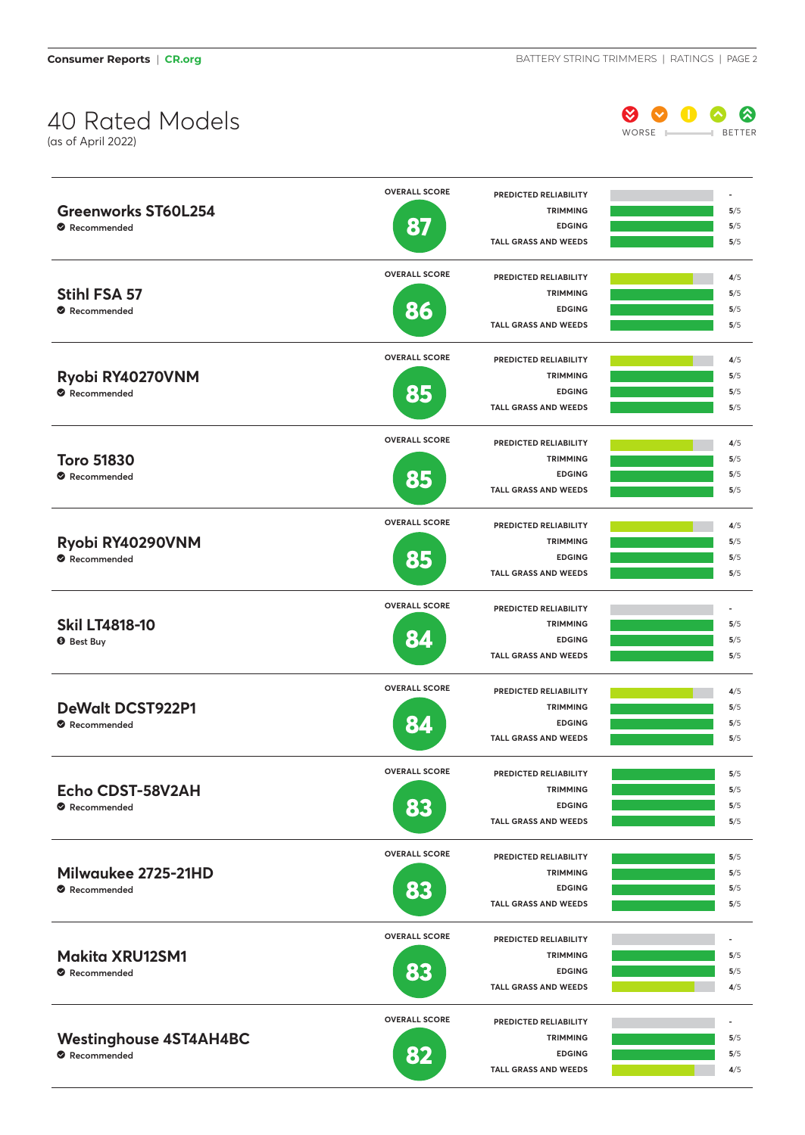## 40 Rated Models

(as of April 2022)



|                                              | <b>OVERALL SCORE</b> | <b>PREDICTED RELIABILITY</b>             |            |
|----------------------------------------------|----------------------|------------------------------------------|------------|
| <b>Greenworks ST60L254</b>                   |                      | <b>TRIMMING</b>                          | 5/5        |
| Recommended                                  | 87                   | <b>EDGING</b>                            | 5/5        |
|                                              |                      | <b>TALL GRASS AND WEEDS</b>              | 5/5        |
|                                              | <b>OVERALL SCORE</b> | PREDICTED RELIABILITY                    | 4/5        |
| Stihl FSA 57                                 |                      | <b>TRIMMING</b>                          | 5/5        |
| Recommended                                  | 86                   | <b>EDGING</b>                            | 5/5        |
|                                              |                      | <b>TALL GRASS AND WEEDS</b>              | 5/5        |
|                                              | <b>OVERALL SCORE</b> | <b>PREDICTED RELIABILITY</b>             | 4/5        |
| Ryobi RY40270VNM                             |                      | <b>TRIMMING</b>                          | 5/5        |
| Recommended                                  | 85                   | <b>EDGING</b>                            | 5/5        |
|                                              |                      | <b>TALL GRASS AND WEEDS</b>              | 5/5        |
|                                              | <b>OVERALL SCORE</b> | PREDICTED RELIABILITY                    | 4/5        |
| <b>Toro 51830</b>                            |                      | <b>TRIMMING</b>                          | 5/5        |
| Recommended                                  |                      | <b>EDGING</b>                            | 5/5        |
|                                              | 85                   | <b>TALL GRASS AND WEEDS</b>              | 5/5        |
|                                              | <b>OVERALL SCORE</b> | PREDICTED RELIABILITY                    | 4/5        |
| Ryobi RY40290VNM                             |                      | <b>TRIMMING</b>                          | 5/5        |
| Recommended                                  |                      | <b>EDGING</b>                            | 5/5        |
|                                              | 85                   | <b>TALL GRASS AND WEEDS</b>              | 5/5        |
|                                              | <b>OVERALL SCORE</b> | PREDICTED RELIABILITY                    | ٠          |
| <b>Skil LT4818-10</b>                        |                      | <b>TRIMMING</b>                          | 5/5        |
| <b>O</b> Best Buy                            | 84                   | <b>EDGING</b>                            | 5/5        |
|                                              |                      | <b>TALL GRASS AND WEEDS</b>              | 5/5        |
|                                              | <b>OVERALL SCORE</b> | PREDICTED RELIABILITY                    | 4/5        |
| <b>DeWalt DCST922P1</b>                      |                      | <b>TRIMMING</b>                          | 5/5        |
| Recommended                                  |                      | <b>EDGING</b>                            | 5/5        |
|                                              |                      | <b>TALL GRASS AND WEEDS</b>              | 5/5        |
|                                              | <b>OVERALL SCORE</b> |                                          |            |
|                                              |                      | PREDICTED RELIABILITY<br><b>TRIMMING</b> | 5/5<br>5/5 |
| Echo CDST-58V2AH                             |                      | <b>EDGING</b>                            | 5/5        |
| Recommended                                  | <b>83</b>            | <b>TALL GRASS AND WEEDS</b>              | 5/5        |
|                                              | <b>OVERALL SCORE</b> |                                          |            |
|                                              |                      | PREDICTED RELIABILITY<br><b>TRIMMING</b> | 5/5        |
| Milwaukee 2725-21HD                          |                      | <b>EDGING</b>                            | 5/5<br>5/5 |
| Recommended                                  | 83                   | <b>TALL GRASS AND WEEDS</b>              | 5/5        |
|                                              |                      |                                          |            |
|                                              | <b>OVERALL SCORE</b> | PREDICTED RELIABILITY                    |            |
| <b>Makita XRU12SM1</b>                       |                      | <b>TRIMMING</b>                          | 5/5        |
| Recommended                                  | <b>BE</b>            | <b>EDGING</b>                            | 5/5        |
|                                              |                      | <b>TALL GRASS AND WEEDS</b>              | 4/5        |
|                                              | <b>OVERALL SCORE</b> | PREDICTED RELIABILITY                    | ٠          |
| <b>Westinghouse 4ST4AH4BC</b><br>Recommended |                      | <b>TRIMMING</b>                          | 5/5        |
|                                              | 82                   | <b>EDGING</b>                            | 5/5        |
|                                              |                      | <b>TALL GRASS AND WEEDS</b>              | 4/5        |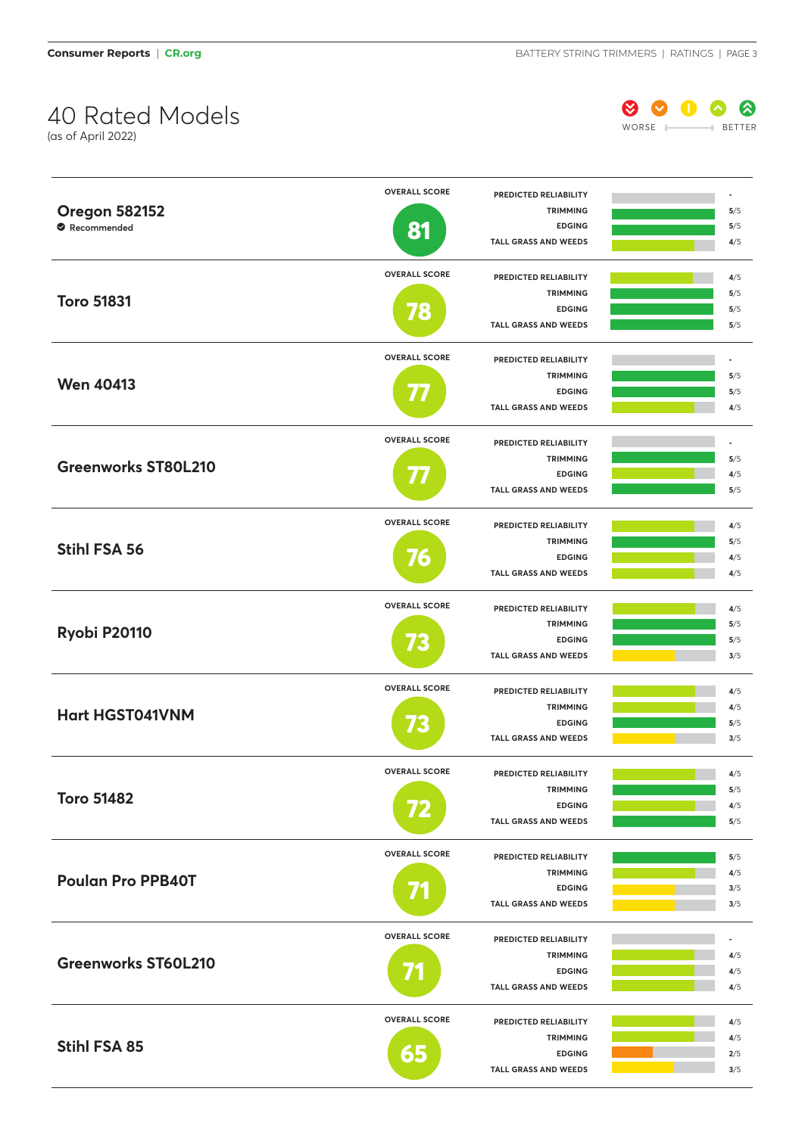**Consumer Reports | CR.org BATTERY STRING TRIMMERS | RATINGS | PAGE 3** 

## $40$  Rated Models Worse Better Works Better Works Better Works Better (as of April 2022)



|                            | <b>OVERALL SCORE</b> | PREDICTED RELIABILITY            |            |
|----------------------------|----------------------|----------------------------------|------------|
| <b>Oregon 582152</b>       |                      | <b>TRIMMING</b>                  | 5/5        |
| Recommended                | 81                   | <b>EDGING</b>                    | 5/5        |
|                            |                      | <b>TALL GRASS AND WEEDS</b>      | 4/5        |
|                            | <b>OVERALL SCORE</b> | PREDICTED RELIABILITY            | 4/5        |
|                            |                      | <b>TRIMMING</b>                  | 5/5        |
| <b>Toro 51831</b>          | 8                    | <b>EDGING</b>                    | 5/5        |
|                            |                      | <b>TALL GRASS AND WEEDS</b>      | 5/5        |
|                            | <b>OVERALL SCORE</b> | PREDICTED RELIABILITY            |            |
|                            |                      | <b>TRIMMING</b>                  | 5/5        |
| <b>Wen 40413</b>           |                      | <b>EDGING</b>                    | 5/5        |
|                            |                      | <b>TALL GRASS AND WEEDS</b>      | 4/5        |
|                            | <b>OVERALL SCORE</b> | PREDICTED RELIABILITY            | ä,         |
|                            |                      | <b>TRIMMING</b>                  | 5/5        |
| <b>Greenworks ST80L210</b> |                      | <b>EDGING</b>                    | 4/5        |
|                            |                      | <b>TALL GRASS AND WEEDS</b>      | 5/5        |
|                            | <b>OVERALL SCORE</b> |                                  |            |
|                            |                      | PREDICTED RELIABILITY            | 4/5        |
| <b>Stihl FSA 56</b>        |                      | <b>TRIMMING</b>                  | 5/5        |
|                            | 76                   | <b>EDGING</b>                    | 4/5<br>4/5 |
|                            |                      | <b>TALL GRASS AND WEEDS</b>      |            |
|                            | <b>OVERALL SCORE</b> | PREDICTED RELIABILITY            | 4/5        |
| Ryobi P20110               |                      | <b>TRIMMING</b>                  | 5/5        |
|                            | 73                   | <b>EDGING</b>                    | 5/5        |
|                            |                      | <b>TALL GRASS AND WEEDS</b>      | 3/5        |
|                            | <b>OVERALL SCORE</b> | PREDICTED RELIABILITY            | 4/5        |
| <b>Hart HGST041VNM</b>     |                      | <b>TRIMMING</b>                  | 4/5        |
|                            |                      | <b>EDGING</b>                    | 5/5        |
|                            |                      | <b>TALL GRASS AND WEEDS</b>      | 3/5        |
|                            | <b>OVERALL SCORE</b> | PREDICTED RELIABILITY            | 4/5        |
|                            |                      | <b>TRIMMING</b>                  | 5/5        |
| <b>Toro 51482</b>          |                      | <b>EDGING</b>                    | 4/5        |
|                            |                      | TALL GRASS AND WEEDS             | 5/5        |
|                            | <b>OVERALL SCORE</b> | PREDICTED RELIABILITY            | 5/5        |
|                            |                      | <b>TRIMMING</b>                  | 4/5        |
| <b>Poulan Pro PPB40T</b>   |                      | <b>EDGING</b>                    | 3/5        |
|                            |                      | <b>TALL GRASS AND WEEDS</b>      | 3/5        |
|                            | <b>OVERALL SCORE</b> | PREDICTED RELIABILITY            |            |
|                            |                      | <b>TRIMMING</b>                  | 4/5        |
| <b>Greenworks ST60L210</b> |                      | <b>EDGING</b>                    | 4/5        |
|                            |                      | <b>TALL GRASS AND WEEDS</b>      | 4/5        |
|                            | <b>OVERALL SCORE</b> |                                  |            |
|                            |                      | PREDICTED RELIABILITY            | 4/5        |
| Stihl FSA 85               |                      | <b>TRIMMING</b><br><b>EDGING</b> | 4/5        |
|                            | 65                   | <b>TALL GRASS AND WEEDS</b>      | 2/5<br>3/5 |
|                            |                      |                                  |            |